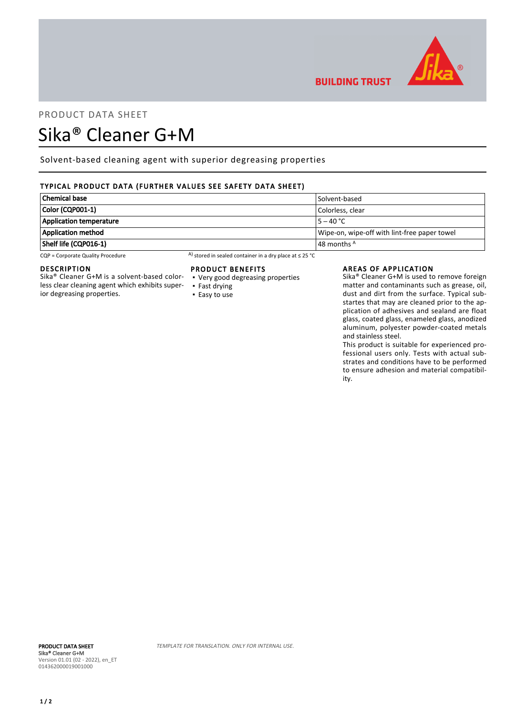

# PRODUCT DATA SHEET

## Sika® Cleaner G+M

Solvent-based cleaning agent with superior degreasing properties

## TYPICAL PRODUCT DATA (FURTHER VALUES SEE SAFETY DATA SHEET)

| Chemical base                  | Solvent-based                                |
|--------------------------------|----------------------------------------------|
| Color (CQP001-1)               | Colorless. clear                             |
| <b>Application temperature</b> | $15 - 40 °C$                                 |
| Application method             | Wipe-on, wipe-off with lint-free paper towel |
| Shelf life (CQP016-1)          | $\vert$ 48 months $^{\mathsf{A}}$            |

CQP = Corporate Quality Procedure A) stored in sealed container in a dry place at ≤ 25 °C

#### DESCRIPTION

Sika® Cleaner G+M is a solvent-based colorless clear cleaning agent which exhibits superior degreasing properties.

#### PRODUCT BENEFITS

- Very good degreasing properties
- Fast drying ■ Easy to use

#### AREAS OF APPLICATION

**BUILDING TRUST** 

Sika® Cleaner G+M is used to remove foreign matter and contaminants such as grease, oil, dust and dirt from the surface. Typical substartes that may are cleaned prior to the application of adhesives and sealand are float glass, coated glass, enameled glass, anodized aluminum, polyester powder-coated metals and stainless steel.

This product is suitable for experienced professional users only. Tests with actual substrates and conditions have to be performed to ensure adhesion and material compatibility.

TEMPLATE FOR TRANSLATION. ONLY FOR INTERNAL USE.